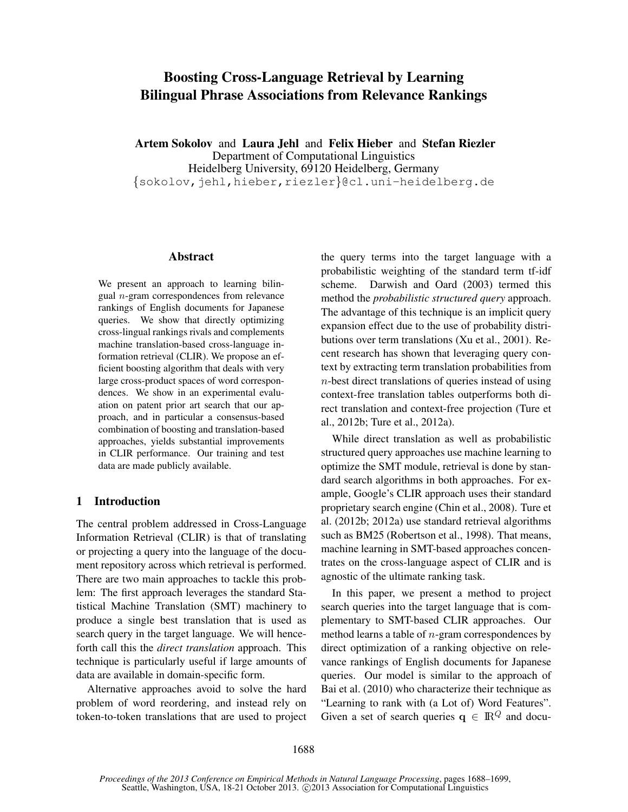# Boosting Cross-Language Retrieval by Learning Bilingual Phrase Associations from Relevance Rankings

Artem Sokolov and Laura Jehl and Felix Hieber and Stefan Riezler Department of Computational Linguistics Heidelberg University, 69120 Heidelberg, Germany {sokolov,jehl,hieber,riezler}@cl.uni-heidelberg.de

#### Abstract

We present an approach to learning bilingual n-gram correspondences from relevance rankings of English documents for Japanese queries. We show that directly optimizing cross-lingual rankings rivals and complements machine translation-based cross-language information retrieval (CLIR). We propose an efficient boosting algorithm that deals with very large cross-product spaces of word correspondences. We show in an experimental evaluation on patent prior art search that our approach, and in particular a consensus-based combination of boosting and translation-based approaches, yields substantial improvements in CLIR performance. Our training and test data are made publicly available.

# 1 Introduction

The central problem addressed in Cross-Language Information Retrieval (CLIR) is that of translating or projecting a query into the language of the document repository across which retrieval is performed. There are two main approaches to tackle this problem: The first approach leverages the standard Statistical Machine Translation (SMT) machinery to produce a single best translation that is used as search query in the target language. We will henceforth call this the *direct translation* approach. This technique is particularly useful if large amounts of data are available in domain-specific form.

Alternative approaches avoid to solve the hard problem of word reordering, and instead rely on token-to-token translations that are used to project the query terms into the target language with a probabilistic weighting of the standard term tf-idf scheme. Darwish and Oard (2003) termed this method the *probabilistic structured query* approach. The advantage of this technique is an implicit query expansion effect due to the use of probability distributions over term translations (Xu et al., 2001). Recent research has shown that leveraging query context by extracting term translation probabilities from n-best direct translations of queries instead of using context-free translation tables outperforms both direct translation and context-free projection (Ture et al., 2012b; Ture et al., 2012a).

While direct translation as well as probabilistic structured query approaches use machine learning to optimize the SMT module, retrieval is done by standard search algorithms in both approaches. For example, Google's CLIR approach uses their standard proprietary search engine (Chin et al., 2008). Ture et al. (2012b; 2012a) use standard retrieval algorithms such as BM25 (Robertson et al., 1998). That means, machine learning in SMT-based approaches concentrates on the cross-language aspect of CLIR and is agnostic of the ultimate ranking task.

In this paper, we present a method to project search queries into the target language that is complementary to SMT-based CLIR approaches. Our method learns a table of  $n$ -gram correspondences by direct optimization of a ranking objective on relevance rankings of English documents for Japanese queries. Our model is similar to the approach of Bai et al. (2010) who characterize their technique as "Learning to rank with (a Lot of) Word Features". Given a set of search queries  $q \in \mathbb{R}^Q$  and docu-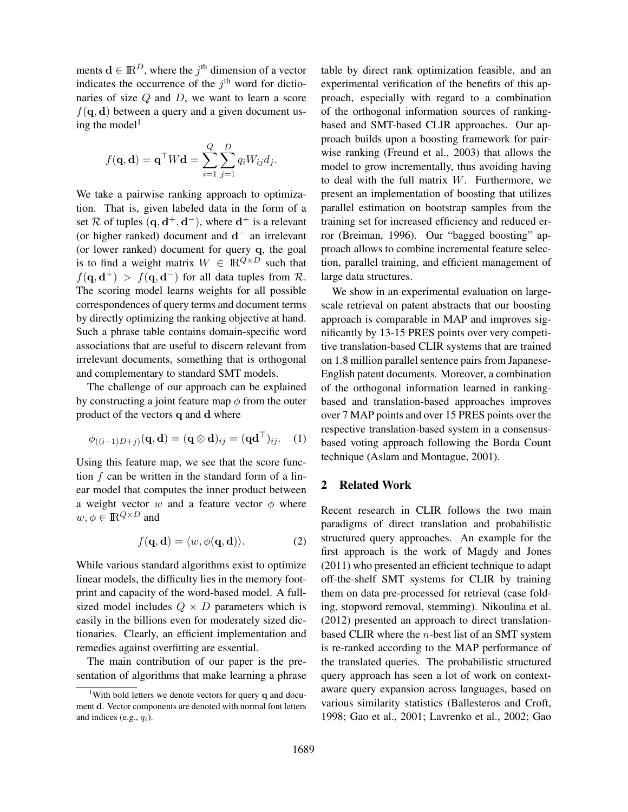ments  $\mathbf{d} \in \mathbb{R}^D$ , where the  $j^{\text{th}}$  dimension of a vector indicates the occurrence of the  $j<sup>th</sup>$  word for dictionaries of size  $Q$  and  $D$ , we want to learn a score  $f(\mathbf{q}, \mathbf{d})$  between a query and a given document using the model<sup>1</sup>

$$
f(\mathbf{q}, \mathbf{d}) = \mathbf{q}^{\top} W \mathbf{d} = \sum_{i=1}^{Q} \sum_{j=1}^{D} q_i W_{ij} d_j.
$$

We take a pairwise ranking approach to optimization. That is, given labeled data in the form of a set R of tuples  $(q, d^+, d^-)$ , where  $d^+$  is a relevant (or higher ranked) document and  $d^-$  an irrelevant (or lower ranked) document for query q, the goal is to find a weight matrix  $W \in \mathbb{R}^{Q \times D}$  such that  $f(\mathbf{q}, \mathbf{d}^+) > f(\mathbf{q}, \mathbf{d}^-)$  for all data tuples from R. The scoring model learns weights for all possible correspondences of query terms and document terms by directly optimizing the ranking objective at hand. Such a phrase table contains domain-specific word associations that are useful to discern relevant from irrelevant documents, something that is orthogonal and complementary to standard SMT models.

The challenge of our approach can be explained by constructing a joint feature map  $\phi$  from the outer product of the vectors q and d where

$$
\phi_{((i-1)D+j)}(\mathbf{q},\mathbf{d}) = (\mathbf{q} \otimes \mathbf{d})_{ij} = (\mathbf{q}\mathbf{d}^{\top})_{ij}.
$$
 (1)

Using this feature map, we see that the score function f can be written in the standard form of a linear model that computes the inner product between a weight vector w and a feature vector  $\phi$  where  $w, \phi \in \mathbb{R}^{Q \times D}$  and

$$
f(\mathbf{q}, \mathbf{d}) = \langle w, \phi(\mathbf{q}, \mathbf{d}) \rangle.
$$
 (2)

While various standard algorithms exist to optimize linear models, the difficulty lies in the memory footprint and capacity of the word-based model. A fullsized model includes  $Q \times D$  parameters which is easily in the billions even for moderately sized dictionaries. Clearly, an efficient implementation and remedies against overfitting are essential.

The main contribution of our paper is the presentation of algorithms that make learning a phrase table by direct rank optimization feasible, and an experimental verification of the benefits of this approach, especially with regard to a combination of the orthogonal information sources of rankingbased and SMT-based CLIR approaches. Our approach builds upon a boosting framework for pairwise ranking (Freund et al., 2003) that allows the model to grow incrementally, thus avoiding having to deal with the full matrix W. Furthermore, we present an implementation of boosting that utilizes parallel estimation on bootstrap samples from the training set for increased efficiency and reduced error (Breiman, 1996). Our "bagged boosting" approach allows to combine incremental feature selection, parallel training, and efficient management of large data structures.

We show in an experimental evaluation on largescale retrieval on patent abstracts that our boosting approach is comparable in MAP and improves significantly by 13-15 PRES points over very competitive translation-based CLIR systems that are trained on 1.8 million parallel sentence pairs from Japanese-English patent documents. Moreover, a combination of the orthogonal information learned in rankingbased and translation-based approaches improves over 7 MAP points and over 15 PRES points over the respective translation-based system in a consensusbased voting approach following the Borda Count technique (Aslam and Montague, 2001).

# 2 Related Work

Recent research in CLIR follows the two main paradigms of direct translation and probabilistic structured query approaches. An example for the first approach is the work of Magdy and Jones (2011) who presented an efficient technique to adapt off-the-shelf SMT systems for CLIR by training them on data pre-processed for retrieval (case folding, stopword removal, stemming). Nikoulina et al. (2012) presented an approach to direct translationbased CLIR where the n-best list of an SMT system is re-ranked according to the MAP performance of the translated queries. The probabilistic structured query approach has seen a lot of work on contextaware query expansion across languages, based on various similarity statistics (Ballesteros and Croft, 1998; Gao et al., 2001; Lavrenko et al., 2002; Gao

<sup>&</sup>lt;sup>1</sup>With bold letters we denote vectors for query  $q$  and document d. Vector components are denoted with normal font letters and indices (e.g.,  $q_i$ ).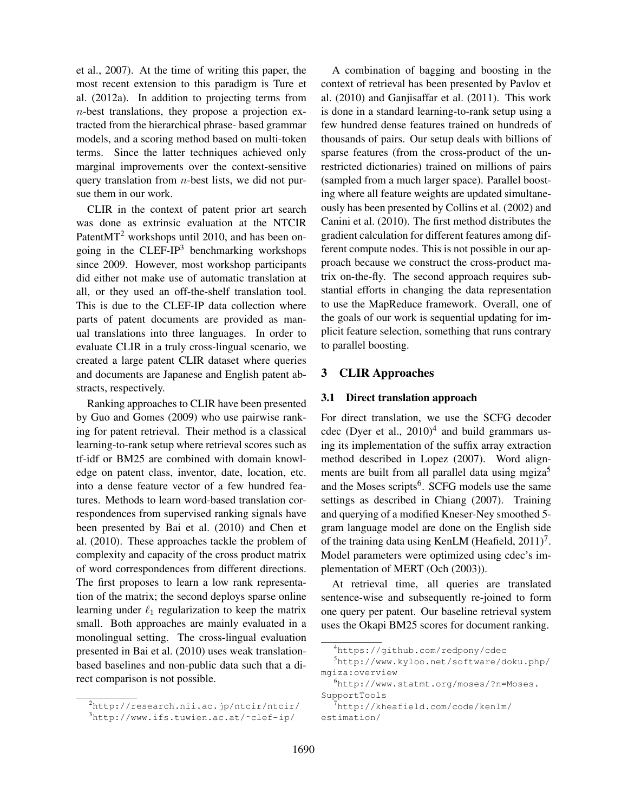et al., 2007). At the time of writing this paper, the most recent extension to this paradigm is Ture et al. (2012a). In addition to projecting terms from n-best translations, they propose a projection extracted from the hierarchical phrase- based grammar models, and a scoring method based on multi-token terms. Since the latter techniques achieved only marginal improvements over the context-sensitive query translation from  $n$ -best lists, we did not pursue them in our work.

CLIR in the context of patent prior art search was done as extrinsic evaluation at the NTCIR Patent $MT<sup>2</sup>$  workshops until 2010, and has been ongoing in the  $CLEF-IP<sup>3</sup>$  benchmarking workshops since 2009. However, most workshop participants did either not make use of automatic translation at all, or they used an off-the-shelf translation tool. This is due to the CLEF-IP data collection where parts of patent documents are provided as manual translations into three languages. In order to evaluate CLIR in a truly cross-lingual scenario, we created a large patent CLIR dataset where queries and documents are Japanese and English patent abstracts, respectively.

Ranking approaches to CLIR have been presented by Guo and Gomes (2009) who use pairwise ranking for patent retrieval. Their method is a classical learning-to-rank setup where retrieval scores such as tf-idf or BM25 are combined with domain knowledge on patent class, inventor, date, location, etc. into a dense feature vector of a few hundred features. Methods to learn word-based translation correspondences from supervised ranking signals have been presented by Bai et al. (2010) and Chen et al. (2010). These approaches tackle the problem of complexity and capacity of the cross product matrix of word correspondences from different directions. The first proposes to learn a low rank representation of the matrix; the second deploys sparse online learning under  $\ell_1$  regularization to keep the matrix small. Both approaches are mainly evaluated in a monolingual setting. The cross-lingual evaluation presented in Bai et al. (2010) uses weak translationbased baselines and non-public data such that a direct comparison is not possible.

A combination of bagging and boosting in the context of retrieval has been presented by Pavlov et al. (2010) and Ganjisaffar et al. (2011). This work is done in a standard learning-to-rank setup using a few hundred dense features trained on hundreds of thousands of pairs. Our setup deals with billions of sparse features (from the cross-product of the unrestricted dictionaries) trained on millions of pairs (sampled from a much larger space). Parallel boosting where all feature weights are updated simultaneously has been presented by Collins et al. (2002) and Canini et al. (2010). The first method distributes the gradient calculation for different features among different compute nodes. This is not possible in our approach because we construct the cross-product matrix on-the-fly. The second approach requires substantial efforts in changing the data representation to use the MapReduce framework. Overall, one of the goals of our work is sequential updating for implicit feature selection, something that runs contrary to parallel boosting.

## 3 CLIR Approaches

#### 3.1 Direct translation approach

For direct translation, we use the SCFG decoder cdec (Dyer et al.,  $2010)^4$  and build grammars using its implementation of the suffix array extraction method described in Lopez (2007). Word alignments are built from all parallel data using mgiza<sup>5</sup> and the Moses scripts<sup>6</sup>. SCFG models use the same settings as described in Chiang (2007). Training and querying of a modified Kneser-Ney smoothed 5 gram language model are done on the English side of the training data using KenLM (Heafield,  $2011$ )<sup>7</sup>. Model parameters were optimized using cdec's implementation of MERT (Och (2003)).

At retrieval time, all queries are translated sentence-wise and subsequently re-joined to form one query per patent. Our baseline retrieval system uses the Okapi BM25 scores for document ranking.

<sup>2</sup>http://research.nii.ac.jp/ntcir/ntcir/ <sup>3</sup>http://www.ifs.tuwien.ac.at/˜clef-ip/

<sup>4</sup>https://github.com/redpony/cdec

<sup>5</sup>http://www.kyloo.net/software/doku.php/ mgiza:overview

<sup>6</sup>http://www.statmt.org/moses/?n=Moses. SupportTools

<sup>7</sup>http://kheafield.com/code/kenlm/ estimation/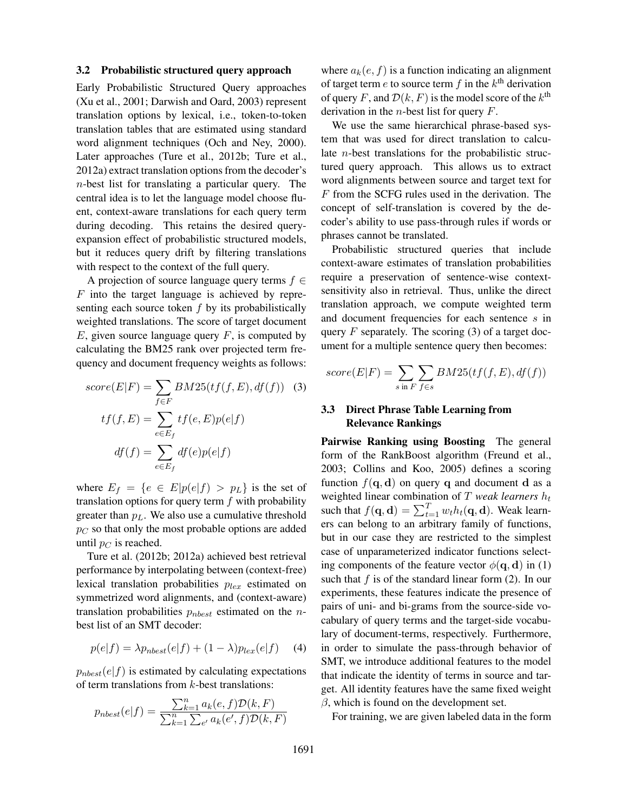#### 3.2 Probabilistic structured query approach

Early Probabilistic Structured Query approaches (Xu et al., 2001; Darwish and Oard, 2003) represent translation options by lexical, i.e., token-to-token translation tables that are estimated using standard word alignment techniques (Och and Ney, 2000). Later approaches (Ture et al., 2012b; Ture et al., 2012a) extract translation options from the decoder's n-best list for translating a particular query. The central idea is to let the language model choose fluent, context-aware translations for each query term during decoding. This retains the desired queryexpansion effect of probabilistic structured models, but it reduces query drift by filtering translations with respect to the context of the full query.

A projection of source language query terms  $f \in$  $F$  into the target language is achieved by representing each source token  $f$  by its probabilistically weighted translations. The score of target document  $E$ , given source language query  $F$ , is computed by calculating the BM25 rank over projected term frequency and document frequency weights as follows:

$$
score(E|F) = \sum_{f \in F} BM25(tf(f, E), df(f)) \quad (3)
$$

$$
tf(f, E) = \sum_{e \in E_f} tf(e, E)p(e|f)
$$

$$
df(f) = \sum_{e \in E_f} df(e)p(e|f)
$$

where  $E_f = \{e \in E | p(e|f) > p_L\}$  is the set of translation options for query term  $f$  with probability greater than  $p<sub>L</sub>$ . We also use a cumulative threshold  $p_C$  so that only the most probable options are added until  $p_C$  is reached.

Ture et al. (2012b; 2012a) achieved best retrieval performance by interpolating between (context-free) lexical translation probabilities  $p_{lex}$  estimated on symmetrized word alignments, and (context-aware) translation probabilities  $p_{nbest}$  estimated on the *n*best list of an SMT decoder:

$$
p(e|f) = \lambda p_{nbest}(e|f) + (1 - \lambda)p_{lex}(e|f) \quad (4)
$$

 $p_{nbest}(e|f)$  is estimated by calculating expectations of term translations from  $k$ -best translations:

$$
p_{nbest}(e|f) = \frac{\sum_{k=1}^{n} a_k(e, f) \mathcal{D}(k, F)}{\sum_{k=1}^{n} \sum_{e'} a_k(e', f) \mathcal{D}(k, F)}
$$

where  $a_k(e, f)$  is a function indicating an alignment of target term  $e$  to source term  $f$  in the  $k^{\text{th}}$  derivation of query F, and  $\mathcal{D}(k, F)$  is the model score of the  $k^{\text{th}}$ derivation in the *n*-best list for query  $F$ .

We use the same hierarchical phrase-based system that was used for direct translation to calculate n-best translations for the probabilistic structured query approach. This allows us to extract word alignments between source and target text for F from the SCFG rules used in the derivation. The concept of self-translation is covered by the decoder's ability to use pass-through rules if words or phrases cannot be translated.

Probabilistic structured queries that include context-aware estimates of translation probabilities require a preservation of sentence-wise contextsensitivity also in retrieval. Thus, unlike the direct translation approach, we compute weighted term and document frequencies for each sentence s in query  $F$  separately. The scoring (3) of a target document for a multiple sentence query then becomes:

$$
score(E|F) = \sum_{s \text{ in } F} \sum_{f \in s} BM25(tf(f, E), df(f))
$$

# 3.3 Direct Phrase Table Learning from Relevance Rankings

Pairwise Ranking using Boosting The general form of the RankBoost algorithm (Freund et al., 2003; Collins and Koo, 2005) defines a scoring function  $f(\mathbf{q}, \mathbf{d})$  on query q and document d as a weighted linear combination of  $T$  *weak learners*  $h_t$ such that  $f(\mathbf{q}, \mathbf{d}) = \sum_{t=1}^{T} w_t h_t(\mathbf{q}, \mathbf{d})$ . Weak learners can belong to an arbitrary family of functions, but in our case they are restricted to the simplest case of unparameterized indicator functions selecting components of the feature vector  $\phi(\mathbf{q}, \mathbf{d})$  in (1) such that f is of the standard linear form  $(2)$ . In our experiments, these features indicate the presence of pairs of uni- and bi-grams from the source-side vocabulary of query terms and the target-side vocabulary of document-terms, respectively. Furthermore, in order to simulate the pass-through behavior of SMT, we introduce additional features to the model that indicate the identity of terms in source and target. All identity features have the same fixed weight  $\beta$ , which is found on the development set.

For training, we are given labeled data in the form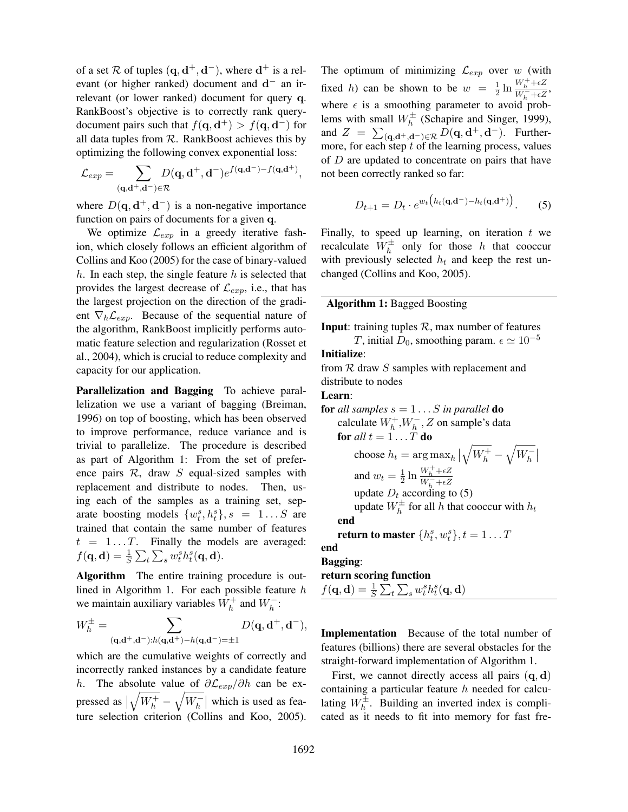of a set R of tuples  $({\bf q},{\bf d}^+,{\bf d}^-)$ , where  ${\bf d}^+$  is a relevant (or higher ranked) document and  $d^-$  an irrelevant (or lower ranked) document for query q. RankBoost's objective is to correctly rank querydocument pairs such that  $f(\mathbf{q}, \mathbf{d}^+) > f(\mathbf{q}, \mathbf{d}^-)$  for all data tuples from  $R$ . RankBoost achieves this by optimizing the following convex exponential loss:

$$
\mathcal{L}_{exp} = \sum_{(\mathbf{q}, \mathbf{d}^+, \mathbf{d}^-) \in \mathcal{R}} D(\mathbf{q}, \mathbf{d}^+, \mathbf{d}^-) e^{f(\mathbf{q}, \mathbf{d}^-) - f(\mathbf{q}, \mathbf{d}^+)},
$$

where  $D(q, \mathbf{d}^+, \mathbf{d}^-)$  is a non-negative importance function on pairs of documents for a given q.

We optimize  $\mathcal{L}_{exp}$  in a greedy iterative fashion, which closely follows an efficient algorithm of Collins and Koo (2005) for the case of binary-valued h. In each step, the single feature  $h$  is selected that provides the largest decrease of  $\mathcal{L}_{exp}$ , i.e., that has the largest projection on the direction of the gradient  $\nabla_h \mathcal{L}_{exp}$ . Because of the sequential nature of the algorithm, RankBoost implicitly performs automatic feature selection and regularization (Rosset et al., 2004), which is crucial to reduce complexity and capacity for our application.

Parallelization and Bagging To achieve parallelization we use a variant of bagging (Breiman, 1996) on top of boosting, which has been observed to improve performance, reduce variance and is trivial to parallelize. The procedure is described as part of Algorithm 1: From the set of preference pairs  $R$ , draw  $S$  equal-sized samples with replacement and distribute to nodes. Then, using each of the samples as a training set, separate boosting models  $\{w_t^s, h_t^s\}, s = 1...S$  are trained that contain the same number of features  $t = 1...T$ . Finally the models are averaged:  $f(\mathbf{q},\mathbf{d}) = \frac{1}{S}\sum_t \sum_s w_t^s h_t^s(\mathbf{q},\mathbf{d}).$ 

Algorithm The entire training procedure is outlined in Algorithm 1. For each possible feature  $h$ we maintain auxiliary variables  $W_h^+$  and  $W_h^-$ :

$$
W_h^\pm = \sum_{(\mathbf{q},\mathbf{d}^+,\mathbf{d}^-):h(\mathbf{q},\mathbf{d}^+)-h(\mathbf{q},\mathbf{d}^-)=\pm 1} D(\mathbf{q},\mathbf{d}^+,\mathbf{d}^-),
$$

which are the cumulative weights of correctly and incorrectly ranked instances by a candidate feature h. The absolute value of  $\partial \mathcal{L}_{exp}/\partial h$  can be expressed as    $\sqrt{W_h^+} - \sqrt{W_h^-}$  which is used as feature selection criterion (Collins and Koo, 2005).

The optimum of minimizing  $\mathcal{L}_{exp}$  over w (with fixed h) can be shown to be  $w = \frac{1}{2} \ln \frac{W_h^+ + \epsilon Z}{W_h^- + \epsilon Z}$  $\frac{W_h + \epsilon Z}{W_h^- + \epsilon Z}$ , where  $\epsilon$  is a smoothing parameter to avoid problems with small  $W_h^{\pm}$  (Schapire and Singer, 1999), and  $Z = \sum_{(\mathbf{q}, \mathbf{d}^+, \mathbf{d}^-) \in \mathcal{R}} D(\mathbf{q}, \mathbf{d}^+, \mathbf{d}^-)$ . Furthermore, for each step  $t$  of the learning process, values of  $D$  are updated to concentrate on pairs that have not been correctly ranked so far:

$$
D_{t+1} = D_t \cdot e^{w_t \left( h_t(\mathbf{q}, \mathbf{d}^-) - h_t(\mathbf{q}, \mathbf{d}^+) \right)}.
$$
 (5)

Finally, to speed up learning, on iteration  $t$  we recalculate  $W_h^{\pm}$  only for those h that cooccur with previously selected  $h_t$  and keep the rest unchanged (Collins and Koo, 2005).

## Algorithm 1: Bagged Boosting

**Input:** training tuples  $\mathcal{R}$ , max number of features T, initial  $D_0$ , smoothing param.  $\epsilon \simeq 10^{-5}$ 

#### Initialize:

from  $R$  draw  $S$  samples with replacement and distribute to nodes

## Learn:

**for** *all samples* 
$$
s = 1...S
$$
 *in parallel* **do**  
calculate  $W_h^+, W_h^-, Z$  on sample's data  
**for** *all*  $t = 1...T$  **do**  
choose  $h_t = \arg \max_h |\sqrt{W_h^+} - \sqrt{W_h^-}|$   
and  $w_t = \frac{1}{2} \ln \frac{W_h^+ + \epsilon Z}{W_h^- + \epsilon Z}$   
update  $D_t$  according to (5)  
update  $W_h^{\pm}$  for all  $h$  that cooccur with  $h_t$   
**end**  
**return to master**  $\{h_t^s, w_t^s\}, t = 1...T$   
**end**  
**Bagging:**  
**return scoring function**  
 $f(\mathbf{q}, \mathbf{d}) = \frac{1}{S} \sum_t \sum_s w_t^s h_t^s(\mathbf{q}, \mathbf{d})$ 

Implementation Because of the total number of features (billions) there are several obstacles for the straight-forward implementation of Algorithm 1.

First, we cannot directly access all pairs  $(q, d)$ containing a particular feature  $h$  needed for calculating  $W_h^{\pm}$ . Building an inverted index is complicated as it needs to fit into memory for fast fre-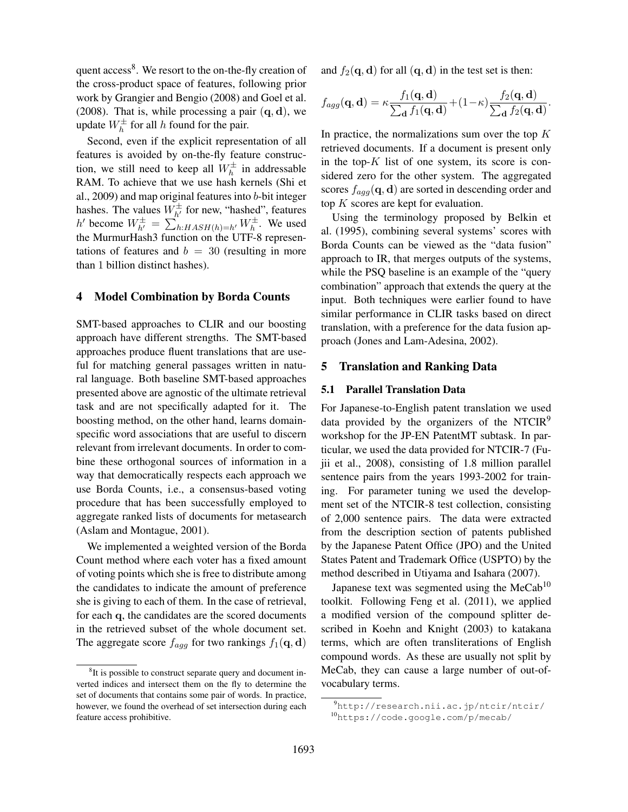quent access<sup>8</sup>. We resort to the on-the-fly creation of the cross-product space of features, following prior work by Grangier and Bengio (2008) and Goel et al. (2008). That is, while processing a pair  $(q, d)$ , we update  $W_h^{\pm}$  for all h found for the pair.

Second, even if the explicit representation of all features is avoided by on-the-fly feature construction, we still need to keep all  $W_h^{\pm}$  in addressable RAM. To achieve that we use hash kernels (Shi et al., 2009) and map original features into b-bit integer hashes. The values  $W_{h'}^{\pm}$  for new, "hashed", features h' become  $W_{h'}^{\pm} = \sum_{h:HASH(h)=h'}^{\infty} W_h^{\pm}$ . We used the MurmurHash3 function on the UTF-8 representations of features and  $b = 30$  (resulting in more than 1 billion distinct hashes).

#### 4 Model Combination by Borda Counts

SMT-based approaches to CLIR and our boosting approach have different strengths. The SMT-based approaches produce fluent translations that are useful for matching general passages written in natural language. Both baseline SMT-based approaches presented above are agnostic of the ultimate retrieval task and are not specifically adapted for it. The boosting method, on the other hand, learns domainspecific word associations that are useful to discern relevant from irrelevant documents. In order to combine these orthogonal sources of information in a way that democratically respects each approach we use Borda Counts, i.e., a consensus-based voting procedure that has been successfully employed to aggregate ranked lists of documents for metasearch (Aslam and Montague, 2001).

We implemented a weighted version of the Borda Count method where each voter has a fixed amount of voting points which she is free to distribute among the candidates to indicate the amount of preference she is giving to each of them. In the case of retrieval, for each q, the candidates are the scored documents in the retrieved subset of the whole document set. The aggregate score  $f_{agg}$  for two rankings  $f_1(\mathbf{q}, \mathbf{d})$ 

and  $f_2(\mathbf{q}, \mathbf{d})$  for all  $(\mathbf{q}, \mathbf{d})$  in the test set is then:

$$
f_{agg}(\mathbf{q}, \mathbf{d}) = \kappa \frac{f_1(\mathbf{q}, \mathbf{d})}{\sum_{\mathbf{d}} f_1(\mathbf{q}, \mathbf{d})} + (1 - \kappa) \frac{f_2(\mathbf{q}, \mathbf{d})}{\sum_{\mathbf{d}} f_2(\mathbf{q}, \mathbf{d})}.
$$

In practice, the normalizations sum over the top  $K$ retrieved documents. If a document is present only in the top- $K$  list of one system, its score is considered zero for the other system. The aggregated scores  $f_{aqq}(\mathbf{q}, \mathbf{d})$  are sorted in descending order and top  $K$  scores are kept for evaluation.

Using the terminology proposed by Belkin et al. (1995), combining several systems' scores with Borda Counts can be viewed as the "data fusion" approach to IR, that merges outputs of the systems, while the PSQ baseline is an example of the "query combination" approach that extends the query at the input. Both techniques were earlier found to have similar performance in CLIR tasks based on direct translation, with a preference for the data fusion approach (Jones and Lam-Adesina, 2002).

## 5 Translation and Ranking Data

### 5.1 Parallel Translation Data

For Japanese-to-English patent translation we used data provided by the organizers of the NTCIR $9$ workshop for the JP-EN PatentMT subtask. In particular, we used the data provided for NTCIR-7 (Fujii et al., 2008), consisting of 1.8 million parallel sentence pairs from the years 1993-2002 for training. For parameter tuning we used the development set of the NTCIR-8 test collection, consisting of 2,000 sentence pairs. The data were extracted from the description section of patents published by the Japanese Patent Office (JPO) and the United States Patent and Trademark Office (USPTO) by the method described in Utiyama and Isahara (2007).

Japanese text was segmented using the MeCab<sup>10</sup> toolkit. Following Feng et al. (2011), we applied a modified version of the compound splitter described in Koehn and Knight (2003) to katakana terms, which are often transliterations of English compound words. As these are usually not split by MeCab, they can cause a large number of out-ofvocabulary terms.

<sup>&</sup>lt;sup>8</sup>It is possible to construct separate query and document inverted indices and intersect them on the fly to determine the set of documents that contains some pair of words. In practice, however, we found the overhead of set intersection during each feature access prohibitive.

<sup>9</sup>http://research.nii.ac.jp/ntcir/ntcir/ <sup>10</sup>https://code.google.com/p/mecab/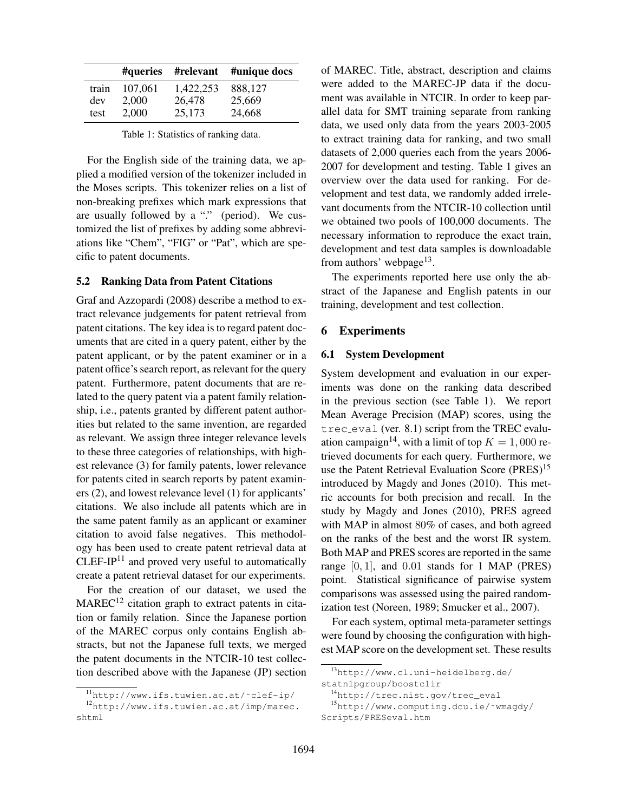|       |         | #queries #relevant | #unique docs |
|-------|---------|--------------------|--------------|
| train | 107,061 | 1,422,253          | 888,127      |
| dev   | 2,000   | 26,478             | 25,669       |
| test  | 2,000   | 25,173             | 24,668       |

Table 1: Statistics of ranking data.

For the English side of the training data, we applied a modified version of the tokenizer included in the Moses scripts. This tokenizer relies on a list of non-breaking prefixes which mark expressions that are usually followed by a "." (period). We customized the list of prefixes by adding some abbreviations like "Chem", "FIG" or "Pat", which are specific to patent documents.

## 5.2 Ranking Data from Patent Citations

Graf and Azzopardi (2008) describe a method to extract relevance judgements for patent retrieval from patent citations. The key idea is to regard patent documents that are cited in a query patent, either by the patent applicant, or by the patent examiner or in a patent office's search report, as relevant for the query patent. Furthermore, patent documents that are related to the query patent via a patent family relationship, i.e., patents granted by different patent authorities but related to the same invention, are regarded as relevant. We assign three integer relevance levels to these three categories of relationships, with highest relevance (3) for family patents, lower relevance for patents cited in search reports by patent examiners (2), and lowest relevance level (1) for applicants' citations. We also include all patents which are in the same patent family as an applicant or examiner citation to avoid false negatives. This methodology has been used to create patent retrieval data at  $CLEF-IP<sup>11</sup>$  and proved very useful to automatically create a patent retrieval dataset for our experiments.

For the creation of our dataset, we used the  $MAREC<sup>12</sup>$  citation graph to extract patents in citation or family relation. Since the Japanese portion of the MAREC corpus only contains English abstracts, but not the Japanese full texts, we merged the patent documents in the NTCIR-10 test collection described above with the Japanese (JP) section

of MAREC. Title, abstract, description and claims were added to the MAREC-JP data if the document was available in NTCIR. In order to keep parallel data for SMT training separate from ranking data, we used only data from the years 2003-2005 to extract training data for ranking, and two small datasets of 2,000 queries each from the years 2006- 2007 for development and testing. Table 1 gives an overview over the data used for ranking. For development and test data, we randomly added irrelevant documents from the NTCIR-10 collection until we obtained two pools of 100,000 documents. The necessary information to reproduce the exact train, development and test data samples is downloadable from authors' webpage $^{13}$ .

The experiments reported here use only the abstract of the Japanese and English patents in our training, development and test collection.

## 6 Experiments

### 6.1 System Development

System development and evaluation in our experiments was done on the ranking data described in the previous section (see Table 1). We report Mean Average Precision (MAP) scores, using the trec eval (ver. 8.1) script from the TREC evaluation campaign<sup>14</sup>, with a limit of top  $K = 1,000$  retrieved documents for each query. Furthermore, we use the Patent Retrieval Evaluation Score (PRES)<sup>15</sup> introduced by Magdy and Jones (2010). This metric accounts for both precision and recall. In the study by Magdy and Jones (2010), PRES agreed with MAP in almost 80% of cases, and both agreed on the ranks of the best and the worst IR system. Both MAP and PRES scores are reported in the same range  $[0, 1]$ , and  $0.01$  stands for 1 MAP (PRES) point. Statistical significance of pairwise system comparisons was assessed using the paired randomization test (Noreen, 1989; Smucker et al., 2007).

For each system, optimal meta-parameter settings were found by choosing the configuration with highest MAP score on the development set. These results

<sup>11</sup>http://www.ifs.tuwien.ac.at/˜clef-ip/

<sup>12</sup>http://www.ifs.tuwien.ac.at/imp/marec. shtml

<sup>13</sup>http://www.cl.uni-heidelberg.de/

statnlpgroup/boostclir

<sup>14</sup>http://trec.nist.gov/trec\_eval

<sup>15</sup>http://www.computing.dcu.ie/˜wmagdy/ Scripts/PRESeval.htm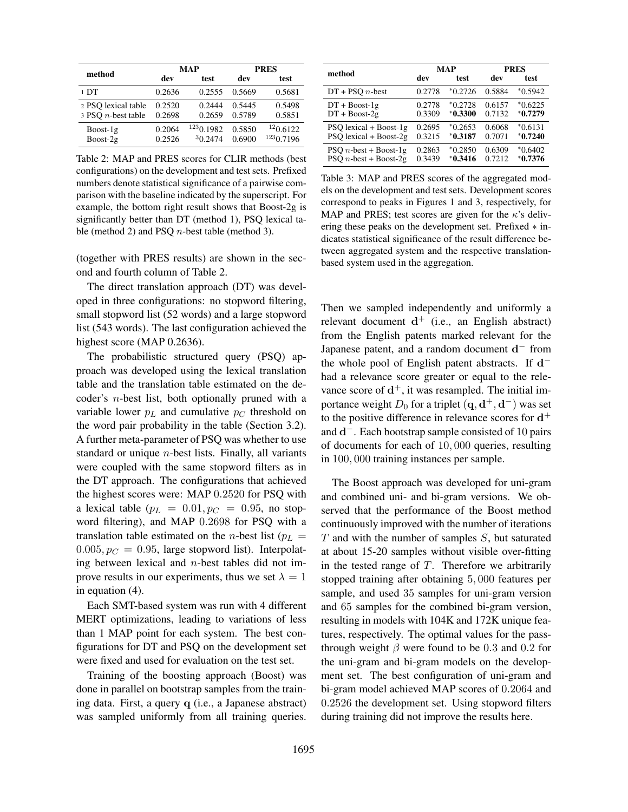|                                              |                  | MAP                  | <b>PRES</b>      |                       |
|----------------------------------------------|------------------|----------------------|------------------|-----------------------|
| method                                       | dev              | test                 | dev              | test                  |
| 1 <sub>D</sub> T                             | 0.2636           | 0.2555               | 0.5669           | 0.5681                |
| 2 PSQ lexical table<br>3 PSO $n$ -best table | 0.2520<br>0.2698 | 0.2444<br>0.2659     | 0.5445<br>0.5789 | 0.5498<br>0.5851      |
| $Boost-1g$<br>$Boost-2g$                     | 0.2064<br>0.2526 | 1230.1982<br>30.2474 | 0.5850<br>0.6900 | 120.6122<br>1230.7196 |

Table 2: MAP and PRES scores for CLIR methods (best configurations) on the development and test sets. Prefixed numbers denote statistical significance of a pairwise comparison with the baseline indicated by the superscript. For example, the bottom right result shows that Boost-2g is significantly better than DT (method 1), PSQ lexical table (method 2) and PSQ  $n$ -best table (method 3).

(together with PRES results) are shown in the second and fourth column of Table 2.

The direct translation approach (DT) was developed in three configurations: no stopword filtering, small stopword list (52 words) and a large stopword list (543 words). The last configuration achieved the highest score (MAP 0.2636).

The probabilistic structured query (PSQ) approach was developed using the lexical translation table and the translation table estimated on the decoder's n-best list, both optionally pruned with a variable lower  $p<sub>L</sub>$  and cumulative  $p<sub>C</sub>$  threshold on the word pair probability in the table (Section 3.2). A further meta-parameter of PSQ was whether to use standard or unique  $n$ -best lists. Finally, all variants were coupled with the same stopword filters as in the DT approach. The configurations that achieved the highest scores were: MAP 0.2520 for PSQ with a lexical table ( $p_L = 0.01, p_C = 0.95$ , no stopword filtering), and MAP 0.2698 for PSQ with a translation table estimated on the *n*-best list ( $p<sub>L</sub>$  =  $0.005, p_C = 0.95$ , large stopword list). Interpolating between lexical and  $n$ -best tables did not improve results in our experiments, thus we set  $\lambda = 1$ in equation (4).

Each SMT-based system was run with 4 different MERT optimizations, leading to variations of less than 1 MAP point for each system. The best configurations for DT and PSQ on the development set were fixed and used for evaluation on the test set.

Training of the boosting approach (Boost) was done in parallel on bootstrap samples from the training data. First, a query q (i.e., a Japanese abstract) was sampled uniformly from all training queries.

|                               | MAP    |           | <b>PRES</b> |           |
|-------------------------------|--------|-----------|-------------|-----------|
| method                        | dev    | test      | dev         | test      |
| $DT + PSO n$ -best            | 0.2778 | $*0.2726$ | 0.5884      | $*0.5942$ |
| $DT + Boost-1g$               | 0.2778 | $*0.2728$ | 0.6157      | $*0.6225$ |
| $DT + Boost-2g$               | 0.3309 | $*0.3300$ | 0.7132      | $*0.7279$ |
| PSO lexical $+$ Boost-1g      | 0.2695 | $*0.2653$ | 0.6068      | $*0.6131$ |
| PSO lexical $+$ Boost-2g      | 0.3215 | $*0.3187$ | 0.7071      | $*0.7240$ |
| PSO <i>n</i> -best + Boost-1g | 0.2863 | $*0.2850$ | 0.6309      | $*0.6402$ |
| PSO <i>n</i> -best + Boost-2g | 0.3439 | $*0.3416$ | 0.7212      | $*0.7376$ |

Table 3: MAP and PRES scores of the aggregated models on the development and test sets. Development scores correspond to peaks in Figures 1 and 3, respectively, for MAP and PRES; test scores are given for the  $\kappa$ 's delivering these peaks on the development set. Prefixed ∗ indicates statistical significance of the result difference between aggregated system and the respective translationbased system used in the aggregation.

Then we sampled independently and uniformly a relevant document  $d^+$  (i.e., an English abstract) from the English patents marked relevant for the Japanese patent, and a random document  $\mathbf{d}^-$  from the whole pool of English patent abstracts. If  $d^$ had a relevance score greater or equal to the relevance score of  $d^+$ , it was resampled. The initial importance weight  $D_0$  for a triplet  $(\mathbf{q}, \mathbf{d}^+, \mathbf{d}^-)$  was set to the positive difference in relevance scores for  $d^+$ and  $\mathbf{d}^-$ . Each bootstrap sample consisted of 10 pairs of documents for each of 10, 000 queries, resulting in 100, 000 training instances per sample.

The Boost approach was developed for uni-gram and combined uni- and bi-gram versions. We observed that the performance of the Boost method continuously improved with the number of iterations  $T$  and with the number of samples  $S$ , but saturated at about 15-20 samples without visible over-fitting in the tested range of  $T$ . Therefore we arbitrarily stopped training after obtaining 5, 000 features per sample, and used 35 samples for uni-gram version and 65 samples for the combined bi-gram version, resulting in models with 104K and 172K unique features, respectively. The optimal values for the passthrough weight  $\beta$  were found to be 0.3 and 0.2 for the uni-gram and bi-gram models on the development set. The best configuration of uni-gram and bi-gram model achieved MAP scores of 0.2064 and 0.2526 the development set. Using stopword filters during training did not improve the results here.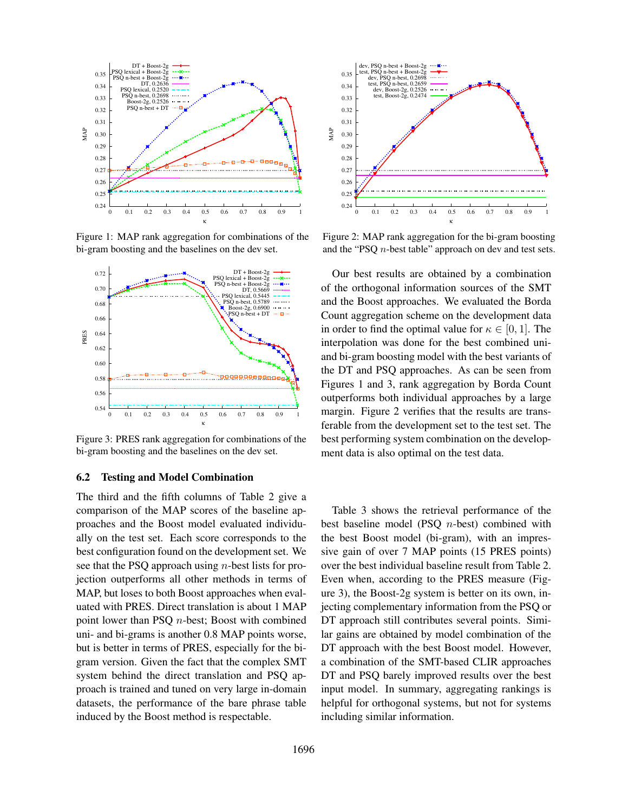

Figure 1: MAP rank aggregation for combinations of the bi-gram boosting and the baselines on the dev set.



Figure 3: PRES rank aggregation for combinations of the bi-gram boosting and the baselines on the dev set.

#### 6.2 Testing and Model Combination

The third and the fifth columns of Table 2 give a comparison of the MAP scores of the baseline approaches and the Boost model evaluated individually on the test set. Each score corresponds to the best configuration found on the development set. We see that the PSQ approach using  $n$ -best lists for projection outperforms all other methods in terms of MAP, but loses to both Boost approaches when evaluated with PRES. Direct translation is about 1 MAP point lower than PSQ n-best; Boost with combined uni- and bi-grams is another 0.8 MAP points worse, but is better in terms of PRES, especially for the bigram version. Given the fact that the complex SMT system behind the direct translation and PSQ approach is trained and tuned on very large in-domain datasets, the performance of the bare phrase table induced by the Boost method is respectable.



Figure 2: MAP rank aggregation for the bi-gram boosting and the "PSQ n-best table" approach on dev and test sets.

Our best results are obtained by a combination of the orthogonal information sources of the SMT and the Boost approaches. We evaluated the Borda Count aggregation scheme on the development data in order to find the optimal value for  $\kappa \in [0, 1]$ . The interpolation was done for the best combined uniand bi-gram boosting model with the best variants of the DT and PSQ approaches. As can be seen from Figures 1 and 3, rank aggregation by Borda Count outperforms both individual approaches by a large margin. Figure 2 verifies that the results are transferable from the development set to the test set. The best performing system combination on the development data is also optimal on the test data.

Table 3 shows the retrieval performance of the best baseline model (PSQ n-best) combined with the best Boost model (bi-gram), with an impressive gain of over 7 MAP points (15 PRES points) over the best individual baseline result from Table 2. Even when, according to the PRES measure (Figure 3), the Boost-2g system is better on its own, injecting complementary information from the PSQ or DT approach still contributes several points. Similar gains are obtained by model combination of the DT approach with the best Boost model. However, a combination of the SMT-based CLIR approaches DT and PSQ barely improved results over the best input model. In summary, aggregating rankings is helpful for orthogonal systems, but not for systems including similar information.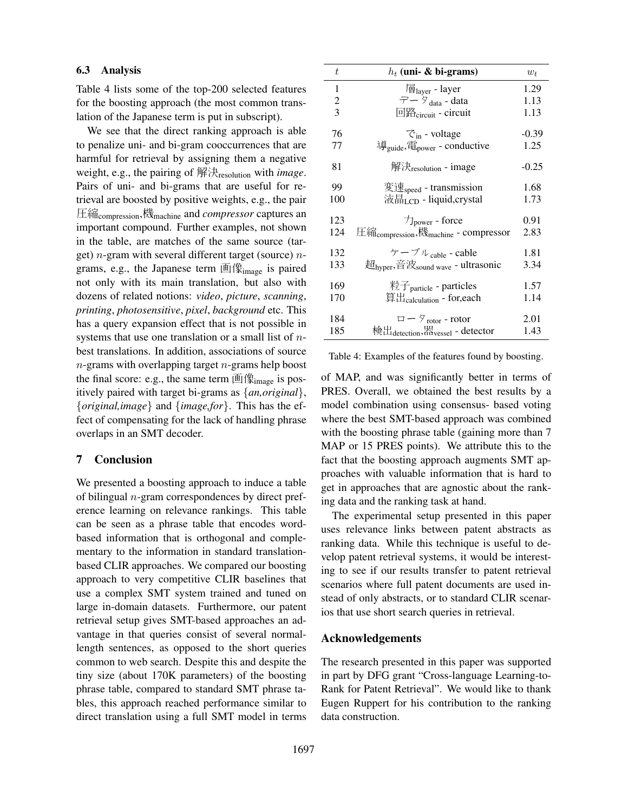#### 6.3 Analysis

Table 4 lists some of the top-200 selected features for the boosting approach (the most common translation of the Japanese term is put in subscript).

We see that the direct ranking approach is able to penalize uni- and bi-gram cooccurrences that are harmful for retrieval by assigning them a negative weight, e.g., the pairing of 解決resolution with *image*. Pairs of uni- and bi-grams that are useful for retrieval are boosted by positive weights, e.g., the pair 圧縮compression,機machine and *compressor* captures an important compound. Further examples, not shown in the table, are matches of the same source (target) *n*-gram with several different target (source) *n*grams, e.g., the Japanese term 画像image is paired not only with its main translation, but also with dozens of related notions: *video*, *picture*, *scanning*, *printing*, *photosensitive*, *pixel*, *background* etc. This has a query expansion effect that is not possible in systems that use one translation or a small list of  $n$ best translations. In addition, associations of source  $n$ -grams with overlapping target  $n$ -grams help boost the final score: e.g., the same term  $\mathbb{E}|\mathcal{R}_{\text{image}}|$  is positively paired with target bi-grams as {*an,original*}, {*original,image*} and {*image,for*}. This has the effect of compensating for the lack of handling phrase overlaps in an SMT decoder.

## 7 Conclusion

We presented a boosting approach to induce a table of bilingual  $n$ -gram correspondences by direct preference learning on relevance rankings. This table can be seen as a phrase table that encodes wordbased information that is orthogonal and complementary to the information in standard translationbased CLIR approaches. We compared our boosting approach to very competitive CLIR baselines that use a complex SMT system trained and tuned on large in-domain datasets. Furthermore, our patent retrieval setup gives SMT-based approaches an advantage in that queries consist of several normallength sentences, as opposed to the short queries common to web search. Despite this and despite the tiny size (about 170K parameters) of the boosting phrase table, compared to standard SMT phrase tables, this approach reached performance similar to direct translation using a full SMT model in terms

| t   | $h_t$ (uni- & bi-grams)                                      | $w_t$   |
|-----|--------------------------------------------------------------|---------|
| 1   | 層 <sub>laver</sub> - layer                                   | 1.29    |
| 2   | データ <sub>data</sub> - data                                   | 1.13    |
| 3   | 回路 <sub>circuit</sub> - circuit                              | 1.13    |
| 76  | $\mathcal{C}_{in}$ - voltage                                 | $-0.39$ |
| 77  | 導 <sub>guide</sub> ,電 <sub>power</sub> - conductive          | 1.25    |
| 81  | 解決 <sub>resolution</sub> - image                             | $-0.25$ |
| 99  | 変速 <sub>speed</sub> - transmission                           | 1.68    |
| 100 | 液晶 <sub>LCD</sub> - liquid,crystal                           | 1.73    |
| 123 | $\mathcal{T}_{power}$ - force                                | 0.91    |
| 124 | 圧縮 <sub>compression</sub> ,機 <sub>machine</sub> - compressor | 2.83    |
| 132 | ケーブル <sub>cable</sub> - cable                                | 1.81    |
| 133 | 超 <sub>hyper</sub> ,音波 <sub>sound wave</sub> - ultrasonic    | 3.34    |
| 169 | 粒子 <sub>particle</sub> - particles                           | 1.57    |
| 170 | 算出 <sub>calculation</sub> - for,each                         | 1.14    |
| 184 | $\Box - \partial_{\rm rotor}$ - rotor                        | 2.01    |
| 185 | 検出 <sub>detection</sub> ,器 <sub>vessel</sub> - detector      | 1.43    |

Table 4: Examples of the features found by boosting.

of MAP, and was significantly better in terms of PRES. Overall, we obtained the best results by a model combination using consensus- based voting where the best SMT-based approach was combined with the boosting phrase table (gaining more than 7 MAP or 15 PRES points). We attribute this to the fact that the boosting approach augments SMT approaches with valuable information that is hard to get in approaches that are agnostic about the ranking data and the ranking task at hand.

The experimental setup presented in this paper uses relevance links between patent abstracts as ranking data. While this technique is useful to develop patent retrieval systems, it would be interesting to see if our results transfer to patent retrieval scenarios where full patent documents are used instead of only abstracts, or to standard CLIR scenarios that use short search queries in retrieval.

#### Acknowledgements

The research presented in this paper was supported in part by DFG grant "Cross-language Learning-to-Rank for Patent Retrieval". We would like to thank Eugen Ruppert for his contribution to the ranking data construction.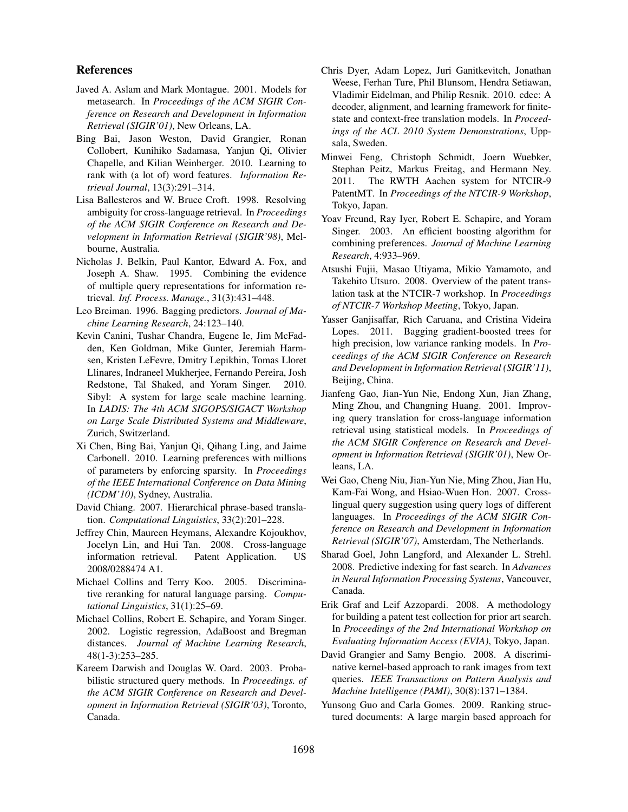## References

- Javed A. Aslam and Mark Montague. 2001. Models for metasearch. In *Proceedings of the ACM SIGIR Conference on Research and Development in Information Retrieval (SIGIR'01)*, New Orleans, LA.
- Bing Bai, Jason Weston, David Grangier, Ronan Collobert, Kunihiko Sadamasa, Yanjun Qi, Olivier Chapelle, and Kilian Weinberger. 2010. Learning to rank with (a lot of) word features. *Information Retrieval Journal*, 13(3):291–314.
- Lisa Ballesteros and W. Bruce Croft. 1998. Resolving ambiguity for cross-language retrieval. In *Proceedings of the ACM SIGIR Conference on Research and Development in Information Retrieval (SIGIR'98)*, Melbourne, Australia.
- Nicholas J. Belkin, Paul Kantor, Edward A. Fox, and Joseph A. Shaw. 1995. Combining the evidence of multiple query representations for information retrieval. *Inf. Process. Manage.*, 31(3):431–448.
- Leo Breiman. 1996. Bagging predictors. *Journal of Machine Learning Research*, 24:123–140.
- Kevin Canini, Tushar Chandra, Eugene Ie, Jim McFadden, Ken Goldman, Mike Gunter, Jeremiah Harmsen, Kristen LeFevre, Dmitry Lepikhin, Tomas Lloret Llinares, Indraneel Mukherjee, Fernando Pereira, Josh Redstone, Tal Shaked, and Yoram Singer. 2010. Sibyl: A system for large scale machine learning. In *LADIS: The 4th ACM SIGOPS/SIGACT Workshop on Large Scale Distributed Systems and Middleware*, Zurich, Switzerland.
- Xi Chen, Bing Bai, Yanjun Qi, Qihang Ling, and Jaime Carbonell. 2010. Learning preferences with millions of parameters by enforcing sparsity. In *Proceedings of the IEEE International Conference on Data Mining (ICDM'10)*, Sydney, Australia.
- David Chiang. 2007. Hierarchical phrase-based translation. *Computational Linguistics*, 33(2):201–228.
- Jeffrey Chin, Maureen Heymans, Alexandre Kojoukhov, Jocelyn Lin, and Hui Tan. 2008. Cross-language information retrieval. Patent Application. US 2008/0288474 A1.
- Michael Collins and Terry Koo. 2005. Discriminative reranking for natural language parsing. *Computational Linguistics*, 31(1):25–69.
- Michael Collins, Robert E. Schapire, and Yoram Singer. 2002. Logistic regression, AdaBoost and Bregman distances. *Journal of Machine Learning Research*, 48(1-3):253–285.
- Kareem Darwish and Douglas W. Oard. 2003. Probabilistic structured query methods. In *Proceedings. of the ACM SIGIR Conference on Research and Development in Information Retrieval (SIGIR'03)*, Toronto, Canada.
- Chris Dyer, Adam Lopez, Juri Ganitkevitch, Jonathan Weese, Ferhan Ture, Phil Blunsom, Hendra Setiawan, Vladimir Eidelman, and Philip Resnik. 2010. cdec: A decoder, alignment, and learning framework for finitestate and context-free translation models. In *Proceedings of the ACL 2010 System Demonstrations*, Uppsala, Sweden.
- Minwei Feng, Christoph Schmidt, Joern Wuebker, Stephan Peitz, Markus Freitag, and Hermann Ney. 2011. The RWTH Aachen system for NTCIR-9 PatentMT. In *Proceedings of the NTCIR-9 Workshop*, Tokyo, Japan.
- Yoav Freund, Ray Iyer, Robert E. Schapire, and Yoram Singer. 2003. An efficient boosting algorithm for combining preferences. *Journal of Machine Learning Research*, 4:933–969.
- Atsushi Fujii, Masao Utiyama, Mikio Yamamoto, and Takehito Utsuro. 2008. Overview of the patent translation task at the NTCIR-7 workshop. In *Proceedings of NTCIR-7 Workshop Meeting*, Tokyo, Japan.
- Yasser Ganjisaffar, Rich Caruana, and Cristina Videira Lopes. 2011. Bagging gradient-boosted trees for high precision, low variance ranking models. In *Proceedings of the ACM SIGIR Conference on Research and Development in Information Retrieval (SIGIR'11)*, Beijing, China.
- Jianfeng Gao, Jian-Yun Nie, Endong Xun, Jian Zhang, Ming Zhou, and Changning Huang. 2001. Improving query translation for cross-language information retrieval using statistical models. In *Proceedings of the ACM SIGIR Conference on Research and Development in Information Retrieval (SIGIR'01)*, New Orleans, LA.
- Wei Gao, Cheng Niu, Jian-Yun Nie, Ming Zhou, Jian Hu, Kam-Fai Wong, and Hsiao-Wuen Hon. 2007. Crosslingual query suggestion using query logs of different languages. In *Proceedings of the ACM SIGIR Conference on Research and Development in Information Retrieval (SIGIR'07)*, Amsterdam, The Netherlands.
- Sharad Goel, John Langford, and Alexander L. Strehl. 2008. Predictive indexing for fast search. In *Advances in Neural Information Processing Systems*, Vancouver, Canada.
- Erik Graf and Leif Azzopardi. 2008. A methodology for building a patent test collection for prior art search. In *Proceedings of the 2nd International Workshop on Evaluating Information Access (EVIA)*, Tokyo, Japan.
- David Grangier and Samy Bengio. 2008. A discriminative kernel-based approach to rank images from text queries. *IEEE Transactions on Pattern Analysis and Machine Intelligence (PAMI)*, 30(8):1371–1384.
- Yunsong Guo and Carla Gomes. 2009. Ranking structured documents: A large margin based approach for